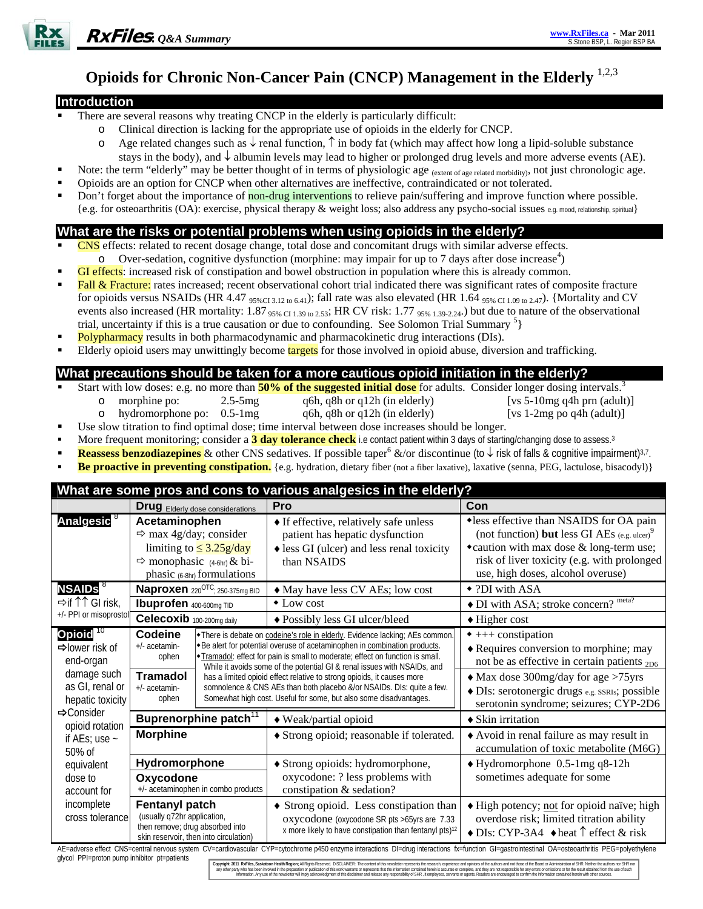

# **Opioids for Chronic Non-Cancer Pain (CNCP) Management in the Elderly** 1,2,3

#### **Introduction**

- There are several reasons why treating CNCP in the elderly is particularly difficult:
	- o Clinical direction is lacking for the appropriate use of opioids in the elderly for CNCP.
	- o Age related changes such as ↓ renal function, ↑ in body fat (which may affect how long a lipid-soluble substance stays in the body), and ↓ albumin levels may lead to higher or prolonged drug levels and more adverse events (AE).
	- Note: the term "elderly" may be better thought of in terms of physiologic age (extent of age related morbidity), not just chronologic age.
- Opioids are an option for CNCP when other alternatives are ineffective, contraindicated or not tolerated.
- Don't forget about the importance of non-drug interventions to relieve pain/suffering and improve function where possible. {e.g. for osteoarthritis (OA): exercise, physical therapy & weight loss; also address any psycho-social issues e.g. mood, relationship, spiritual}

## **What are the risks or potential problems when using opioids in the elderly?**

- CNS effects: related to recent dosage change, total dose and concomitant drugs with similar adverse effects.  $\circ$  Over-sedation, cognitive dysfunction (morphine: may impair for up to 7 days after dose increase<sup>4</sup>)
- GI effects: increased risk of constipation and bowel obstruction in population where this is already common.
- Fall & Fracture: rates increased; recent observational cohort trial indicated there was significant rates of composite fracture for opioids versus NSAIDs (HR 4.47  $_{95\%Cl3.12 \text{ to } 6.41}$ ); fall rate was also elevated (HR 1.64  $_{95\% Cl1.09 \text{ to } 2.47}$ ). {Mortality and CV events also increased (HR mortality:  $1.87_{95\% \text{ CI }1.39 \text{ to } 2.53}$ ; HR CV risk:  $1.77_{95\% \text{ 1.39-2.24}}$ .) but due to nature of the observational trial, uncertainty if this is a true causation or due to confounding. See Solomon Trial Summary  $5$
- Polypharmacy results in both pharmacodynamic and pharmacokinetic drug interactions (DIs).
- Elderly opioid users may unwittingly become targets for those involved in opioid abuse, diversion and trafficking.

## **What precautions should be taken for a more cautious opioid initiation in the elderly?**

- Start with low doses: e.g. no more than **50% of the suggested initial dose** for adults. Consider longer dosing intervals.<sup>3</sup>
	-
	- o morphine po: 2.5-5mg q6h, q8h or q12h (in elderly) [vs 5-10mg q4h prn (adult)]
- 
- 
- o hydromorphone po:  $0.5-1$ mg q6h, q8h or q12h (in elderly) [vs 1-2mg po q4h (adult)]
- Use slow titration to find optimal dose; time interval between dose increases should be longer.
- More frequent monitoring; consider a 3 day tolerance check i.e contact patient within 3 days of starting/changing dose to assess.<sup>3</sup>
- **Reassess benzodiazepines** & other CNS sedatives. If possible taper<sup>6</sup> &/or discontinue (to ↓ risk of falls & cognitive impairment)<sup>3,7</sup>.
- **Be proactive in preventing constipation.** {e.g. hydration, dietary fiber (not a fiber laxative), laxative (senna, PEG, lactulose, bisacodyl)}

| What are some pros and cons to various analgesics in the elderly?                                                                                                                                                                                                               |                                                                                                                                                              |  |                                                                                                                                                                                                                                                                                                                                                                                                                                                                                                                                                |                                                                                                                                                                                                                                                                  |  |
|---------------------------------------------------------------------------------------------------------------------------------------------------------------------------------------------------------------------------------------------------------------------------------|--------------------------------------------------------------------------------------------------------------------------------------------------------------|--|------------------------------------------------------------------------------------------------------------------------------------------------------------------------------------------------------------------------------------------------------------------------------------------------------------------------------------------------------------------------------------------------------------------------------------------------------------------------------------------------------------------------------------------------|------------------------------------------------------------------------------------------------------------------------------------------------------------------------------------------------------------------------------------------------------------------|--|
|                                                                                                                                                                                                                                                                                 | <b>Drug</b> Elderly dose considerations                                                                                                                      |  | Pro                                                                                                                                                                                                                                                                                                                                                                                                                                                                                                                                            | Con                                                                                                                                                                                                                                                              |  |
| Analgesic <sup>8</sup>                                                                                                                                                                                                                                                          | Acetaminophen<br>$\Rightarrow$ max 4g/day; consider<br>limiting to $\leq$ 3.25g/day<br>$\Rightarrow$ monophasic (4-6hr) & bi-<br>phasic (6-8hr) formulations |  | • If effective, relatively safe unless<br>patient has hepatic dysfunction<br>$\triangle$ less GI (ulcer) and less renal toxicity<br>than NSAIDS                                                                                                                                                                                                                                                                                                                                                                                                | •less effective than NSAIDS for OA pain<br>(not function) but less GI AEs $(e.g., u[cer])^9$<br>• caution with max dose & long-term use;<br>risk of liver toxicity (e.g. with prolonged<br>use, high doses, alcohol overuse)                                     |  |
| <b>NSAIDs</b> <sup>8</sup>                                                                                                                                                                                                                                                      | Naproxen 220 <sup>OTC</sup> ; 250-375mg BID                                                                                                                  |  | • May have less CV AEs; low cost                                                                                                                                                                                                                                                                                                                                                                                                                                                                                                               | $\bullet$ ?DI with ASA                                                                                                                                                                                                                                           |  |
| ⇒if <sup>↑</sup> ↑ GI risk,<br>+/- PPI or misoprostol                                                                                                                                                                                                                           | <b>Ibuprofen</b> 400-600mg TID                                                                                                                               |  | $\bullet$ Low cost                                                                                                                                                                                                                                                                                                                                                                                                                                                                                                                             | • DI with ASA; stroke concern? meta?                                                                                                                                                                                                                             |  |
|                                                                                                                                                                                                                                                                                 | Celecoxib 100-200mg daily                                                                                                                                    |  | ◆ Possibly less GI ulcer/bleed                                                                                                                                                                                                                                                                                                                                                                                                                                                                                                                 | $\blacklozenge$ Higher cost                                                                                                                                                                                                                                      |  |
| Opioid <sup>10</sup><br>$\Rightarrow$ lower risk of<br>end-organ<br>damage such<br>as GI, renal or<br>hepatic toxicity<br>$\Rightarrow$ Consider<br>opioid rotation<br>if AEs; use $\sim$<br>$50\%$ of<br>equivalent<br>dose to<br>account for<br>incomplete<br>cross tolerance | Codeine<br>+/- acetamin-<br>ophen<br><b>Tramadol</b><br>+/- acetamin-<br>ophen                                                                               |  | → There is debate on codeine's role in elderly. Evidence lacking; AEs common.<br>Expedient for potential overuse of acetaminophen in combination products.<br>Tramadol: effect for pain is small to moderate; effect on function is small.<br>While it avoids some of the potential GI & renal issues with NSAIDs, and<br>has a limited opioid effect relative to strong opioids, it causes more<br>somnolence & CNS AEs than both placebo &/or NSAIDs. DIs: quite a few.<br>Somewhat high cost. Useful for some, but also some disadvantages. | $\bullet$ +++ constipation<br>◆ Requires conversion to morphine; may<br>not be as effective in certain patients <sub>2D6</sub><br>• Max dose 300mg/day for age >75yrs<br>+ DIs: serotonergic drugs e.g. SSRIs; possible<br>serotonin syndrome; seizures; CYP-2D6 |  |
|                                                                                                                                                                                                                                                                                 | Buprenorphine patch <sup>11</sup>                                                                                                                            |  | • Weak/partial opioid                                                                                                                                                                                                                                                                                                                                                                                                                                                                                                                          | $\triangle$ Skin irritation                                                                                                                                                                                                                                      |  |
|                                                                                                                                                                                                                                                                                 | <b>Morphine</b>                                                                                                                                              |  | Strong opioid; reasonable if tolerated.                                                                                                                                                                                                                                                                                                                                                                                                                                                                                                        | Avoid in renal failure as may result in<br>accumulation of toxic metabolite (M6G)                                                                                                                                                                                |  |
|                                                                                                                                                                                                                                                                                 | Hydromorphone                                                                                                                                                |  | ◆ Strong opioids: hydromorphone,<br>oxycodone: ? less problems with<br>constipation & sedation?                                                                                                                                                                                                                                                                                                                                                                                                                                                | $\blacklozenge$ Hydromorphone 0.5-1mg q8-12h                                                                                                                                                                                                                     |  |
|                                                                                                                                                                                                                                                                                 | Oxycodone<br>+/- acetaminophen in combo products                                                                                                             |  |                                                                                                                                                                                                                                                                                                                                                                                                                                                                                                                                                | sometimes adequate for some                                                                                                                                                                                                                                      |  |
|                                                                                                                                                                                                                                                                                 | <b>Fentanyl patch</b><br>(usually q72hr application,<br>then remove; drug absorbed into<br>skin reservoir, then into circulation)                            |  | • Strong opioid. Less constipation than<br>oxycodone (oxycodone SR pts >65yrs are 7.33<br>x more likely to have constipation than fentanyl pts) <sup>12</sup>                                                                                                                                                                                                                                                                                                                                                                                  | High potency; not for opioid naïve; high<br>overdose risk; limited titration ability<br>$\triangle$ DIs: CYP-3A4 $\triangle$ heat $\uparrow$ effect & risk                                                                                                       |  |
| alucal DDL-proton numn inhibitor nt-nationte                                                                                                                                                                                                                                    |                                                                                                                                                              |  |                                                                                                                                                                                                                                                                                                                                                                                                                                                                                                                                                | AE=adverse effect CNS=central nervous system CV=cardiovascular CYP=cytochrome p450 enzyme interactions DI=drug interactions fx=function GI=qastrointestinal OA=osteoarthritis PEG=polyethylene                                                                   |  |

glycol PPI=proton pump inhibitor pt=patients

Copyright 2011 RxFiles, Sas any other party who has been involved in the preparation or publication of this work warrants or represents that the information contained herein is accurate or complete, and they are not responsible for any errors or orni Information. Any use of the newsletter will imply acknowledgment of this disclaimer and release any responsibility of SHR, it employees, servants or agents. Readers are encouraged to confirm the information contained herei